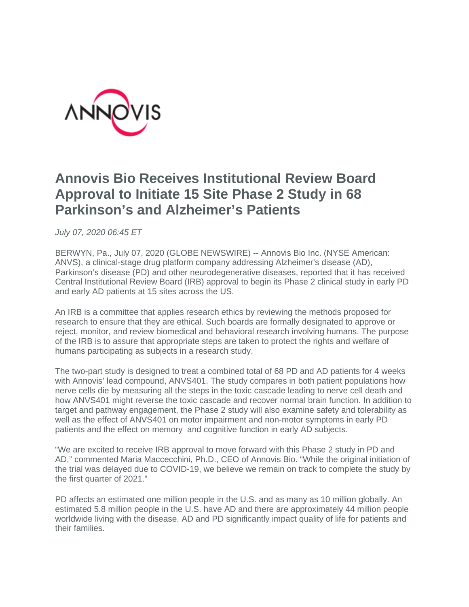

## **Annovis Bio Receives Institutional Review Board Approval to Initiate 15 Site Phase 2 Study in 68 Parkinson's and Alzheimer's Patients**

*July 07, 2020 06:45 ET*

BERWYN, Pa., July 07, 2020 (GLOBE NEWSWIRE) -- Annovis Bio Inc. (NYSE American: ANVS), a clinical-stage drug platform company addressing Alzheimer's disease (AD), Parkinson's disease (PD) and other neurodegenerative diseases, reported that it has received Central Institutional Review Board (IRB) approval to begin its Phase 2 clinical study in early PD and early AD patients at 15 sites across the US.

An IRB is a committee that applies research ethics by reviewing the methods proposed for research to ensure that they are ethical. Such boards are formally designated to approve or reject, monitor, and review biomedical and behavioral research involving humans. The purpose of the IRB is to assure that appropriate steps are taken to protect the rights and welfare of humans participating as subjects in a research study.

The two-part study is designed to treat a combined total of 68 PD and AD patients for 4 weeks with Annovis' lead compound, ANVS401. The study compares in both patient populations how nerve cells die by measuring all the steps in the toxic cascade leading to nerve cell death and how ANVS401 might reverse the toxic cascade and recover normal brain function. In addition to target and pathway engagement, the Phase 2 study will also examine safety and tolerability as well as the effect of ANVS401 on motor impairment and non-motor symptoms in early PD patients and the effect on memory and cognitive function in early AD subjects.

"We are excited to receive IRB approval to move forward with this Phase 2 study in PD and AD," commented Maria Maccecchini, Ph.D., CEO of Annovis Bio. "While the original initiation of the trial was delayed due to COVID-19, we believe we remain on track to complete the study by the first quarter of 2021."

PD affects an estimated one million people in the U.S. and as many as 10 million globally. An estimated 5.8 million people in the U.S. have AD and there are approximately 44 million people worldwide living with the disease. AD and PD significantly impact quality of life for patients and their families.